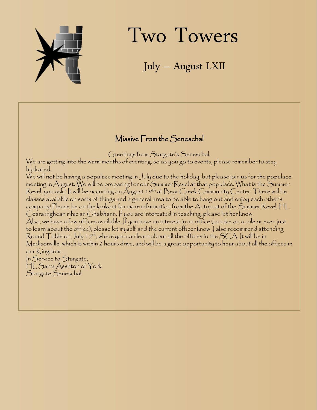

# Two Towers

July – August LXII

### Missive From the Seneschal

Greetings from Stargate's Seneschal,

We are getting into the warm months of eventing, so as you go to events, please remember to stay hydrated.

We will not be having a populace meeting in July due to the holiday, but please join us for the populace meeting in August. We will be preparing for our Summer Revel at that populace. What is the Summer Revel, you ask? It will be occurring on August 19<sup>th</sup> at Bear Creek Community Center. There will be classes available on sorts of things and a general area to be able to hang out and enjoy each other's company! Please be on the lookout for more information from the Autocrat of the Summer Revel, HL Ceara inghean mhic an Ghabhann. If you are interested in teaching, please let her know. Also, we have a few offices available. If you have an interest in an office (to take on a role or even just to learn about the office), please let myself and the current officer know. I also recommend attending Round  $\top$ able on July 15th, where you can learn about all the offices in the SCA. It will be in Madisonville, which is within 2 hours drive, and will be a great opportunity to hear about all the offices in our Kingdom.

In Service to Stargate, HL Sarra Asshton of York Stargate Seneschal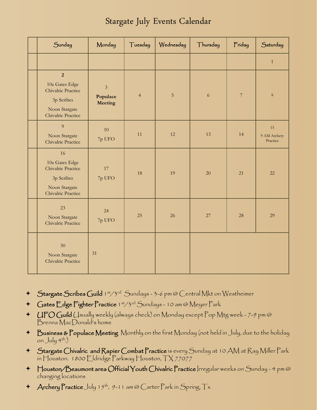### Stargate July Events Calendar

| Sunday                                                                                                      | Monday                                | Tuesday        | Wednesday      | Thursday | Friday         | Saturday                       |
|-------------------------------------------------------------------------------------------------------------|---------------------------------------|----------------|----------------|----------|----------------|--------------------------------|
|                                                                                                             |                                       |                |                |          |                | $\mathbf{1}$                   |
| $\overline{2}$<br>10a Gates Edge<br>Chivalric Practice<br>3p Scribes<br>Noon Stargate<br>Chivalric Practice | $\overline{3}$<br>Populace<br>Meeting | $\overline{4}$ | $\overline{5}$ | 6        | $\overline{7}$ | 8                              |
| 9<br>Noon Stargate<br>Chivalric Practice                                                                    | 10<br>7p UFO                          | 11             | 12             | 13       | 14             | 15<br>9 AM Archery<br>Practice |
| 16<br>10a Gates Edge<br>Chivalric Practice<br>3p Scribes<br>Noon Stargate<br>Chivalric Practice             | 17<br>7p UFO                          | 18             | 19             | 20       | 21             | 22                             |
| 23<br>Noon Stargate<br>Chivalric Practice                                                                   | 24<br>7p UFO                          | 25             | 26             | 27       | 28             | 29                             |
| 30 <sup>°</sup><br>Noon Stargate<br>Chivalric Practice                                                      | 31                                    |                |                |          |                |                                |

- + Stargate Scribes Guild 1st/3rd Sundays 3-6 pm @ Central Mkt on Westheimer
- + Gates Edge Fighter Practice 1st/3rd Sundays 10 am @ Meyer Park
- UFO Guild Usually weekly (always check) on Monday except Pop Mtg week 7-9 pm @ Brenna MacDonald's home
- Business & Populace Meeting Monthly on the first Monday (not held in July, due to the holiday on  $July 4<sup>th</sup>.)$
- Stargate Chivalric and Rapier Combat Practice is every Sunday at 10 AM at Ray Miller Park in Houston. 1800 Eldridge Parkway Houston, TX 77077
- Houston/Beaumont area Official Youth Chivalric Practice Irregular weeks on Sunday 4 pm @ changing locations
- $\triangleq$  Archery Practice July 15<sup>th</sup>, 9-11 am @ Carter Park in Spring,  $Tx$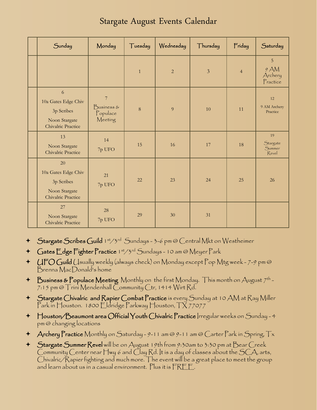|  | Stargate August Events Calendar |
|--|---------------------------------|
|--|---------------------------------|

| Sunday                                                                                 | Monday                                              | Tuesday      | Wednesday      | Thursday       | Friday         | Saturday                          |
|----------------------------------------------------------------------------------------|-----------------------------------------------------|--------------|----------------|----------------|----------------|-----------------------------------|
|                                                                                        |                                                     | $\mathbf{1}$ | $\overline{2}$ | $\mathfrak{Z}$ | $\overline{4}$ | 5<br>9 AM<br>Archery<br>Practice  |
| $\sqrt{6}$<br>10a Gates Edge Chiv<br>3p Scribes<br>Noon Stargate<br>Chivalric Practice | $\overline{7}$<br>Business &<br>Populace<br>Meeting | $\,8\,$      | 9              | 10             | 11             | 12<br>9 AM Archery<br>Practice    |
| 13<br>Noon Stargate<br>Chivalric Practice                                              | 14<br>7p UFO                                        | 15           | 16             | 17             | 18             | 19<br>Stargate<br>Summer<br>Revel |
| 20<br>10a Gates Edge Chiv<br>3p Scribes<br>Noon Stargate<br>Chivalric Practice         | 21<br>7p UFO                                        | 22           | 23             | 24             | 25             | 26                                |
| 27<br>Noon Stargate<br>Chivalric Practice                                              | 28<br>7p UFO                                        | 29           | 30             | 31             |                |                                   |

- + Stargate Scribes Guild 1st/3rd Sundays 3-6 pm @ Central Mkt on Westheimer
- + Gates Edge Fighter Practice 1st/3rd Sundays 10 am @ Meyer Park
- +  $UFOG$ uild (Jsually weekly (always check) on Monday except Pop Mtg week 7-9 pm @ Brenna MacDonald's home
- $\blacklozenge$  Business & Populace Meeting Monthly on the first Monday. This month on August  $7^{\text{th}}$  -7:15 pm @ Trini Mendenhall Community Ctr, 1414 Wirt Rd.
- Stargate Chivalric and Rapier Combat Practice is every Sunday at 10 AM at Ray Miller Park in Houston. 1800 Eldridge Parkway Houston, TX 77077
- Houston/Beaumont area Official Youth Chivalric Practice Irregular weeks on Sunday 4 pm @ changing locations
- + Archery Practice Monthly on Saturday 9-11 am @ 9-11 am @ Carter Park in Spring, Tx
- <sup>+</sup> Stargate Summer Revel will be on August 19th from 9:30am to 3:30 pm at Bear Creek Community Center near Hwy 6 and Clay Rd. It is a day of classes about the  $SCA$ , arts, Chivalric/Rapier fighting and much more. The event will be a great place to meet the group and learn about us in a casual environment. Plus it is FREE.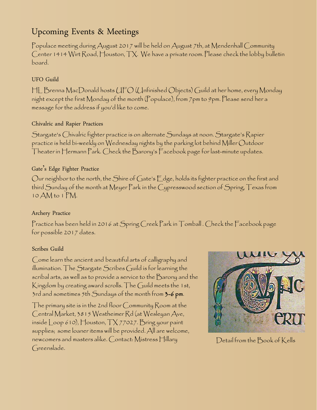### Upcoming Events & Meetings

Populace meeting during August 2017 will be held on August 7th, at Mendenhall Community Center 1414 Wirt Road, Houston, TX. We have a private room. Please check the lobby bulletin board.

### UFO Guild

HL Brenna MacDonald hosts UFO (Unfinished Objects) Guild at her home, every Monday night except the first Monday of the month (Populace), from 7pm to 9pm. Please send her a message for the address if you'd like to come.

### Chivalric and Rapier Practices

Stargate's Chivalric fighter practice is on alternate Sundays at noon. Stargate's Rapier practice is held bi-weekly on Wednesday nights by the parking lot behind Miller Outdoor Theater in Hermann Park. Check the Barony's Facebook page for last-minute updates.

### Gate's Edge Fighter Practice

Our neighbor to the north, the Shire of Gate's Edge, holds its fighter practice on the first and third Sunday of the month at Meyer Park in the Cypresswood section of Spring, Texas from 10 AM to 1 PM.

#### Archery Practice

Practice has been held in 2016 at Spring Creek Park in Tomball . Check the Facebook page for possible 2017 dates.

#### Scribes Guild

Come learn the ancient and beautiful arts of calligraphy and illumination. The Stargate Scribes Guild is for learning the scribal arts, as well as to provide a service to the Barony and the Kingdom by creating award scrolls. The Guild meets the 1st, 3rd and sometimes 5th Sundays of the month from 3-6 pm.

The primary site is in the 2nd floor Community Room at the Central Market, 3815 Westheimer Rd (at Wesleyan Ave, inside  $\lfloor$ oop 610), Houston,  $\lceil \frac{1}{2} \rceil$  77027. Bring your paint supplies; some loaner items will be provided. All are welcome, newcomers and masters alike. Contact: Mistress Hillary Greenslade.



Detail from the Book of Kells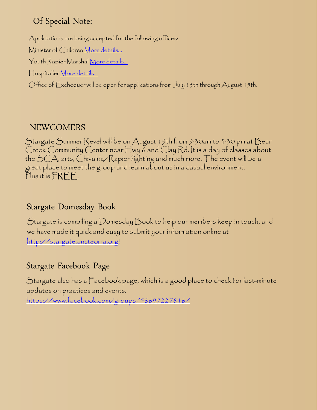### Of Special Note:

Applications are being accepted for the following offices: Minister of Children <u>[More details...](http://stargate.ansteorra.org/news.shtml%23Accepting_applications)</u> Youth Rapier Marshal [More details...](http://stargate.ansteorra.org/news.shtml%23Accepting_applications) Hospitaller [More details...](http://stargate.ansteorra.org/news.shtml%23Accepting_applications) Office of Exchequer will be open for applications from July 15th through August 15th.

### NEWCOMERS

Stargate Summer Revel will be on August 19th from 9:30am to 3:30 pm at Bear Creek Community Center near Hwy 6 and Clay Rd. It is a day of classes about the SCA, arts, Chivalric/Rapier fighting and much more. The event will be a great place to meet the group and learn about us in a casual environment. Plus it is **FREE**.

# Stargate Domesday Book

Stargate is compiling a Domesday Book to help our members keep in touch, and we have made it quick and easy to submit your information online at [http://stargate.ansteorra.org!](http://stargate.ansteorra.org/)

# Stargate Facebook Page

Stargate also has a Facebook page, which is a good place to check for last-minute updates on practices and events.

<https://www.facebook.com/groups/56697227816/>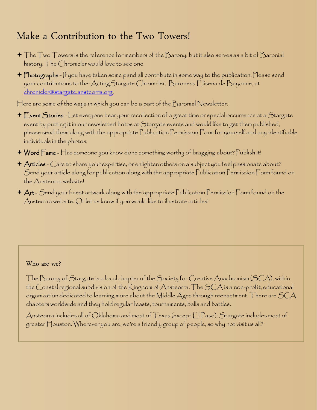# Make a Contribution to the Two Towers!

- $\blacklozenge$  The Two Towers is the reference for members of the Barony, but it also serves as a bit of Baronial history. The Chronicler would love to see one
- + Photographs If you have taken some pand all contribute in some way to the publication. Please send your contributions to the ActingStargate Chronicler, Baroness Elisena de Bayonne, at [chronicler@stargate.ansteorra.org](mailto:chronicler@stargate.ansteorra.org).

Here are some of the ways in which you can be a part of the Baronial Newsletter:

- + Event Stories Let everyone hear your recollection of a great time or special occurrence at a Stargate event by putting it in our newsletter! hotos at Stargate events and would like to get them published, please send them along with the appropriate Publication Permission Form for yourself and any identifiable individuals in the photos.
- Word Fame Has someone you know done something worthy of bragging about? Publish it!
- Articles Care to share your expertise, or enlighten others on a subject you feel passionate about? Send your article along for publication along with the appropriate Publication Permission Form found on the Ansteorra website!
- Art Send your finest artwork along with the appropriate Publication Permission Form found on the Ansteorra website. Or let us know if you would like to illustrate articles!

#### Who are we?

The Barony of Stargate is a local chapter of the Society for Creative Anachronism (SCA), within the Coastal regional subdivision of the Kingdom of Ansteorra. The SCA is a non-profit, educational organization dedicated to learning more about the Middle Ages through reenactment. There are  $SCA$ chapters worldwide and they hold regular feasts, tournaments, balls and battles.

Ansteorra includes all of Oklahoma and most of Texas (except El Paso). Stargate includes most of greater Houston. Wherever you are, we're a friendly group of people, so why not visit us all?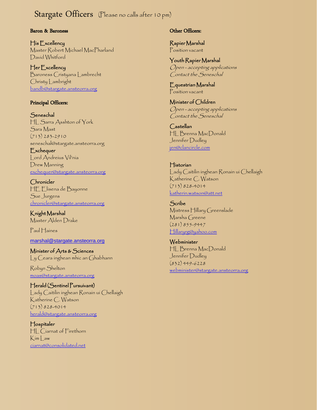### Stargate Officers (Please no calls after 10 pm)

#### Baron & Baroness

His Excellency Master Robert Michael MacPharland David Whitford

Her Excellency Baroness Cristyana Lambrecht Christy Lambright [bandb@stargate.ansteorra.org](mailto:bandb@stargate.ansteorra.org)

#### Principal Officers:

**Seneschal** HL Sarra Asshton of York Sara Mast  $(713)$  283-2910 seneschal@stargate.ansteorra.org

**Exchequer** Lord Andreius Vil'nia Drew Manning [exchequer@stargate.ansteorra.org](mailto:exchequer@stargate.ansteorra.org?subject=Question%20for%20Stargate%20Exchequer)

Chronicler HE Elisena de Bayonne Sue Jurgens [chronicler@stargate.ansteorra.org](mailto:chronicler@stargate.ansteorra.org)

Knight Marshal Master Alden Drake

Paul Haines

[marshal@stargate.ansteorra.org](mailto:marshal@stargate.ansteorra.org)

Minister of Arts & Sciences Ly Ceara inghean mhic an Ghabhann

Robyn Shelton [moas@stargate.ansteorra.org](mailto:moas@stargate.ansteorra.org)

Herald (Sentinel Pursuivant) Lady Caitilin inghean Ronain ui Chellaigh Katherine C. Watson (713) 828-4014 [herald@stargate.ansteorra.org](mailto:herald@stargate.ansteorra.org)

Hospitaler HL Ciarnat of Firethorn Kim Law [ciarnat@consolidated.net](mailto:ciarnat@consolidated.net)

#### Other Officers:

Rapier Marshal Position vacant

Youth Rapier Marshal Open - accepting applications Contact the Seneschal

Equestrian Marshal Position vacant

Minister of Children Open - accepting applications Contact the Seneschal

Castellan HL Brenna MacDonald Jennifer Dudley [jen@clancircle.com](mailto:jen@clancircle.com)

Historian Lady Caitilin inghean Ronain ui Chellaigh Katherine C. Watson (713) 828-4014 [katherin.watson@att.net](mailto:katherin.watson@att.net?subject=For%20the%20Stargate%20Historian)

Scribe Mistress Hillary Greenslade Marsha Greene (281) 855-9447 [Hillaryrg@yahoo.com](mailto:Hillaryrg@yahoo.com)

**Webminister** HL Brenna MacDonald Jennifer Dudley (832) 449-6228 [webminister@stargate.ansteorra.org](mailto:webminister@stargate.ansteorra.org)